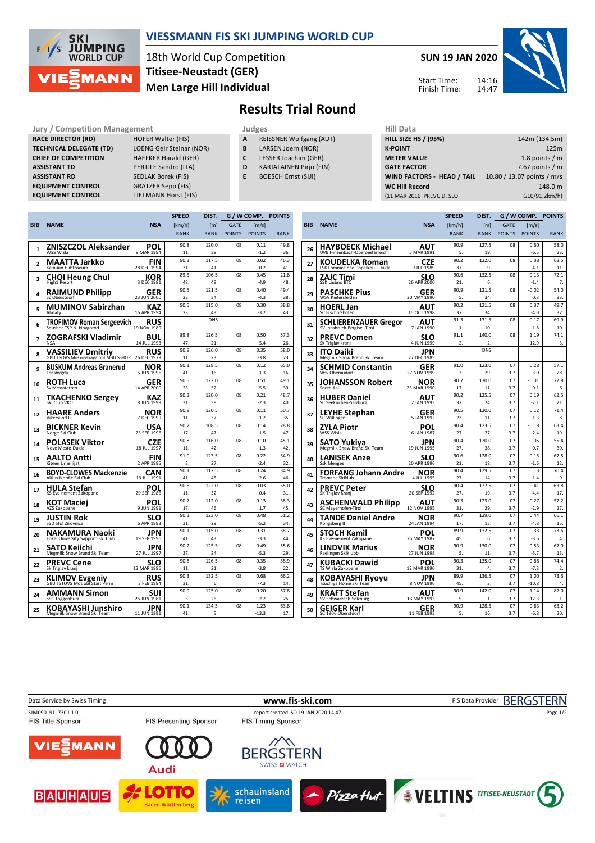

## **VIESSMANN FIS SKI JUMPING WORLD CUP**

18th World Cup Competition **Men Large Hill Individual Titisee-Neustadt (GER)**

**SUN 19 JAN 2020** 14:16



14:47 Start Time: Finish Time:

## **Results Trial Round**

**RACE DIRECTOR (RD) HOFER Walter (FIS) TECHNICAL DELEGATE (TD)** LOENG Geir Steinar (NOR) **CHIEF OF COMPETITION** HAEFKER Harald (GER) **ASSISTANT TD** PERTILE Sandro (ITA) **ASSISTANT RD** SEDLAK Borek (FIS) **EQUIPMENT CONTROL GRATZER Sepp (FIS)**<br>**EQUIPMENT CONTROL** TIELMANN Horst (FI

**Jury / Competition Management Judges Hill Data TIELMANN Horst (FIS)** 

- **A** REISSNER Wolfgang (AUT)
- **B** LARSEN Joern (NOR)
- **C** LESSER Joachim (GER)
- **D** KARJALAINEN Pirjo (FIN)
- **E** BOESCH Ernst (SUI)

| нш рата                           |                            |
|-----------------------------------|----------------------------|
| <b>HILL SIZE HS / (95%)</b>       | 142m (134.5m)              |
| <b>K-POINT</b>                    | 125m                       |
| <b>METER VALUE</b>                | 1.8 points $/m$            |
| <b>GATE FACTOR</b>                | 7.67 points $/m$           |
| <b>WIND FACTORS - HEAD / TAIL</b> | 10.80 / 13.07 points / m/s |
| <b>WC Hill Record</b>             | 148.0 m                    |
| (11 MAR 2016 PREVC D. SLO         | G10/91.2km/h)              |
|                                   |                            |

|              |                                                                 |                           | <b>SPEED</b> | DIST.        | G / W COMP.   |                | <b>POINTS</b> |
|--------------|-----------------------------------------------------------------|---------------------------|--------------|--------------|---------------|----------------|---------------|
| <b>BIB</b>   | <b>NAME</b>                                                     | <b>NSA</b>                | [km/h]       | [m]          | <b>GATE</b>   | [m/s]          |               |
|              |                                                                 |                           | <b>RANK</b>  | <b>RANK</b>  | <b>POINTS</b> | <b>POINTS</b>  | <b>RANK</b>   |
|              | <b>ZNISZCZOL Aleksander</b>                                     | POL                       | 90.8         | 120.0        | 08            | 0.11           | 49.8          |
| 1            | WSS Wisla                                                       | 8 MAR 1994                | 11.          | 38.          |               | $-1.2$         | 36.           |
| $\mathbf{2}$ | MAATTA Jarkko                                                   | <b>FIN</b>                | 90.3         | 117.5        | 08            | 0.02           | 46.3          |
|              | Kainuun Hiihtoseura                                             | 28 DEC 1994               | 31.          | 41.          |               | $-0.2$         | 41.           |
| 3            | CHOI Heung Chul                                                 | KOR                       | 89.5         | 106.5        | 08            | 0.45           | 21.8          |
|              | High1 Resort                                                    | 3 DEC 1981                | 48.          | 48.          |               | $-49$          | 48.           |
| 4            | <b>RAIMUND Philipp</b><br>Sc Oberstdorf                         | GER<br>23 JUN 2000        | 90.5<br>23.  | 121.5<br>34. | 08            | 0.40<br>$-4.3$ | 49.4<br>38.   |
|              |                                                                 |                           | 90.5         | 115.0        | 08            | 0.30           | 38.8          |
| 5            | <b>MUMINOV Sabirzhan</b><br>Almaty                              | KAZ<br>16 APR 1994        | 23.          | 43.          |               | $-3.2$         | 43.           |
| 6            | <b>TROFIMOV Roman Sergeevich</b>                                | RUS                       |              | <b>DNS</b>   |               |                |               |
|              | Sdushor CSP N. Novgorod                                         | 19 NOV 1989               |              |              |               |                |               |
| 7            | ZOGRAFSKI Vladimir<br><b>NSA</b>                                | BUL<br>14 JUL 1993        | 89.8<br>47.  | 126.5<br>21. | 08            | 0.50<br>$-5.4$ | 57.3<br>26.   |
|              |                                                                 |                           | 90.8         | 126.0        | 08            | 0.35           | 58.0          |
| 8            | <b>VASSILIEV Dmitriy</b><br>GBU TSOVS Moskovskaya obl MBU SSHOR | <b>RUS</b><br>26 DEC 1979 | 11.          | 23.          |               | $-3.8$         | 23.           |
|              | <b>BUSKUM Andreas Granerud</b>                                  | NOR                       | 90.1         | 128.5        | 08            | 0.12           | 65.0          |
| 9            | Lensbygda                                                       | 5 JUN 1996                | 41           | 16           |               | $-13$          | 16.           |
| 10           | ROTH Luca                                                       | GER                       | 90.5         | 122.0        | 08            | 0.51           | 49.1          |
|              | Sy Messstetten                                                  | 14 APR 2000               | 23.          | 32.          |               | $-5.5$         | 39.           |
| 11           | TKACHENKO Sergev                                                | KAZ                       | 90.3         | 120.0        | 08            | 0.21           | 48.7          |
|              | Ski Club VKO                                                    | 8 JUN 1999                | 31.          | 38.          |               | $-2.3$         | 40.           |
| 12           | HAARE Anders<br>Vikersund IF                                    | NOR<br>7 DEC 1999         | 90.8<br>11.  | 120.5<br>37. | 08            | 0.11<br>$-1.2$ | 50.7<br>35.   |
|              |                                                                 |                           | 90.7         | 108.5        | 08            | 0.14           | 28.8          |
| 13           | BICKNER Kevin<br>Norge Ski Club                                 | USA<br>23 SEP 1996        | 17.          | 47.          |               | $-1.5$         | 47.           |
| 14           | POLASEK Viktor                                                  | CZE                       | 90.8         | 116.0        | 08            | $-0.10$        | 45.1          |
|              | Nove Mesto-Dukla                                                | 18 JUL 1997               | 11.          | 42.          |               | 1.3            | 42.           |
| 15           | AALTO Antti                                                     | FIN                       | 91.0         | 123.5        | 08            | 0.22           | 54.9          |
|              | Kiteen Urheilijat                                               | 2 APR 1995                | 3.           | 27.          |               | $-2.4$         | 32.           |
| 16           | <b>BOYD-CLOWES Mackenzie</b><br>Altius Nordic Ski Club          | CAN<br>13 JUL 1991        | 90.1<br>41.  | 112.5<br>45. | 08            | 0.24<br>$-2.6$ | 34.9<br>46.   |
|              |                                                                 |                           | 90.8         | 122.0        | 08            | $-0.03$        | 55.0          |
| 17           | HULA Stefan<br>KS Eve-nement Zakopane                           | POL<br>29 SEP 1986        | 11.          | 32.          |               | 0.4            | 31.           |
|              | KOT Maciej                                                      | POL                       | 90.7         | 112.0        | 08            | $-0.13$        | 38.3          |
| 18           | AZS Zakopane                                                    | 9 JUN 1991                | 17.          | 46.          |               | 1.7            | 45.           |
| 19           | JUSTIN Rok                                                      | SLO                       | 90.3         | 123.0        | 08            | 0.48           | 51.2          |
|              | SSD Stol Zirovnica                                              | 6 APR 1993                | 31.          | 29.          |               | $-5.2$         | 34.           |
| 20           | <b>NAKAMURA Naoki</b>                                           | JPN                       | 90.1         | 115.0        | 08            | 0.31           | 38.7          |
|              | Tokai University Sapporo Ski Club                               | 19 SEP 1996               | 41.<br>90.2  | 43.<br>125.5 | 08            | $-3.3$<br>0.49 | 44.<br>55.6   |
| 21           | SATO Keiichi<br>Megmilk Snow Brand Ski Team                     | JPN<br>27 JUL 1997        | 37.          | 24.          |               | $-5.3$         | 29.           |
|              | <b>PREVC Cene</b>                                               | SLO                       | 90.8         | 126.5        | 08            | 0.35           | 58.9          |
| 22           | Sk Triglav kranj                                                | 12 MAR 1996               | 11.          | 21.          |               | $-3.8$         | 22.           |
| 23           | <b>KLIMOV Evgeniy</b><br>GBU TSTOVS Mos obl Start Perm          | <b>RUS</b>                | 90.3         | 132.5        | 08            | 0.68           | 66.2          |
|              |                                                                 | 3 FEB 1994                | 31.          | 6.           |               | $-7.3$         | 14.           |
| 24           | AMMANN Simon                                                    | SUI                       | 90.9         | 125.0        | 08            | 0.20           | 57.8          |
|              | SSC Toggenburg                                                  | 25 JUN 1981               | 5.           | 26.          |               | $-2.2$         | 25            |
| 25           | KOBAYASHI Junshiro                                              | JPN                       | 90.1<br>41.  | 134.5<br>5.  | 08            | 1.23           | 63.8          |
|              | Megmilk Snow Brand Ski Team                                     | 11 JUN 1991               |              |              |               | $-13.3$        | 17.           |

|     |                                                             |                    | <b>SPEED</b>           | DIST.                     | G / W COMP.   | <b>POINTS</b>         |             |
|-----|-------------------------------------------------------------|--------------------|------------------------|---------------------------|---------------|-----------------------|-------------|
| BIB | <b>NAME</b>                                                 | <b>NSA</b>         | [km/h]                 | [m]                       | <b>GATE</b>   | $\lfloor m/s \rfloor$ |             |
|     |                                                             |                    | <b>RANK</b>            | RANK                      | <b>POINTS</b> | <b>POINTS</b>         | <b>RANK</b> |
| 26  | HAYBOECK Michael                                            | AUT                | 90.9                   | 127.5                     | 08            | 0.60                  | 58.0        |
|     | UVB Hinzenbach-Oberoesterreich                              | 5 MAR 1991         | 5.                     | 19.                       |               | $-6.5$                | 23.         |
| 27  | KOUDELKA Roman                                              | <b>CZE</b>         | 90.2                   | 132.0                     | 08            | 0.38                  | 68.5        |
|     | LSK Lomnice nad Popelkou - Dukla                            | 9 JUL 1989         | 37.                    | 9.                        |               | $-4.1$                | 11.         |
| 28  | ZAJC Timi<br>SSK Ljubno BTC                                 | SLO<br>26 APR 2000 | 90.6<br>21.            | 132.5<br>6.               | 08            | 0.13<br>$-1.4$        | 72.1<br>7.  |
| 29  | PASCHKE Pius<br>WSV Kiefersfelden                           | GER<br>20 MAY 1990 | 90.9<br>5.             | 121.5<br>34.              | 08            | $-0.02$<br>0.3        | 54.0<br>33. |
| 30  | <b>HOERL Jan</b><br>SC Bischofshofen                        | AUT<br>16 OCT 1998 | 90.2<br>37.            | 121.5<br>34.              | 08            | 0.37<br>$-4.0$        | 49.7<br>37. |
|     |                                                             | AUT                | 91.3                   | 131.5                     | 08            | 0.17                  | 69.9        |
| 31  | <b>SCHLIERENZAUER Gregor</b><br>SV Innsbruck-Bergisel-Tirol | 7 JAN 1990         | $\mathbf{1}$           | 10.                       |               | $-1.8$                | 10.         |
| 32  | <b>PREVC Domen</b><br>Sk Triglav kranj                      | SLO<br>4 JUN 1999  | 91.1<br>$\overline{2}$ | 140.0<br>$\overline{2}$ . | 08            | 1.19<br>$-12.9$       | 74.1<br>3.  |
| 33  | <b>ITO Daiki</b><br>Megmilk Snow Brand Ski Team             | JPN<br>27 DEC 1985 |                        | <b>DNS</b>                |               |                       |             |
|     | SCHMID Constantin                                           | GER                | 91.0                   | 123.0                     | 07            | 0.28                  | 57.1        |
| 34  | Wsv Oberaudorf                                              | 27 NOV 1999        | 3.                     | 29.                       | 3.7           | $-3.0$                | 28.         |
| 35  | JOHANSSON Robert                                            | NOR                | 90.7                   | 130.0                     | 07            | -0.01                 | 72.8        |
|     | Soere Aal IL                                                | 23 MAR 1990        | 17.                    | 11.                       | 3.7           | 0.1                   | 6.          |
| 36  | <b>HUBER Daniel</b>                                         | AUT                | 90.2                   | 125.5                     | 07            | 0.19                  | 62.5        |
|     | SC Seekirchen-Salzburg                                      | 2 JAN 1993         | 37.                    | 24.                       | 3.7           | $-2.1$                | 21.         |
| 37  | <b>LEYHE Stephan</b><br>SC Willingen                        | GER<br>5 JAN 1992  | 90.5<br>23.            | 130.0<br>11.              | 07<br>3.7     | 0.12<br>$-1.3$        | 71.4<br>8.  |
|     | ZYLA Piotr                                                  | POL                | 90.4                   | 123.5                     | 07            | $-0.18$               | 63.4        |
| 38  | WSS Wisla                                                   | 16 JAN 1987        | 27.                    | 27.                       | 3.7           | 2.4                   | 19.         |
| 39  | SATO Yukiva                                                 | JPN                | 90.4                   | 120.0                     | 07            | $-0.05$               | 55.4        |
|     | Megmilk Snow Brand Ski Team                                 | 19 JUN 1995        | 27.                    | 38.                       | 3.7           | 0.7                   | 30.         |
| 40  | LANISEK Anze<br><b>Ssk Menges</b>                           | SLO<br>20 APR 1996 | 90.6<br>21             | 128.0<br>18.              | 07<br>3.7     | 0.15<br>$-1.6$        | 67.5<br>12. |
|     | <b>FORFANG Johann Andre</b>                                 | NOR                | 90.4                   | 129.5                     | 07            | 0.13                  | 70.4        |
| 41  | Tromsoe Skiklub                                             | 4 JUL 1995         | 27.                    | 14.                       | 3.7           | $-1.4$                | 9.          |
| 42  | PREVC Peter                                                 | SLO                | 90.4                   | 127.5                     | 07            | 0.41                  | 63.8        |
|     | SK Triglav Kranj                                            | 20 SEP 1992        | 27.                    | 19.                       | 3.7           | $-4.4$                | 17.         |
| 43  | <b>ASCHENWALD Philipp</b><br>SC Mayerhofen-Tirol            | AUT<br>12 NOV 1995 | 90.3<br>31.            | 123.0<br>29.              | 07<br>3.7     | 0.27<br>$-2.9$        | 57.2<br>27. |
|     |                                                             |                    | 90.7                   | 129.0                     | 07            | 0.44                  | 66.1        |
| 44  | TANDE Daniel Andre<br>Kongsberg If                          | NOR<br>24 JAN 1994 | 17.                    | 15.                       | 3.7           | $-4.8$                | 15.         |
|     |                                                             |                    | 89.9                   | 132.5                     | 07            | 0.33                  | 73.6        |
| 45  | STOCH Kamil<br>KS Eve-nement Zakopane                       | POL<br>25 MAY 1987 | 45.                    | 6.                        | 3.7           | $-3.6$                | 4.          |
|     | LINDVIK Marius                                              | NOR                | 90.9                   | 130.0                     | 07            | 0.53                  | 67.0        |
| 46  | Raelingen Skiklubb                                          | 27 JUN 1998        | 5.                     | 11.                       | 3.7           | $-5.7$                | 13.         |
| 47  | KUBACKI Dawid                                               | POL                | 90.3                   | 135.0                     | 07            | 0.68                  | 74.4        |
|     | TS Wisla Zakopane                                           | 12 MAR 1990        | 31.                    | 4.                        | 3.7           | $-7.3$                | 2.          |
| 48  | <b>KOBAYASHI Ryoyu</b>                                      | JPN                | 89.9                   | 136.5                     | 07            | 1.00                  | 73.6        |
|     | Tsuchiya Home Ski Team                                      | 8 NOV 1996         | 45.                    | 3.                        | 3.7           | $-10.8$               | 4           |
| 49  | KRAFT Stefan<br>SV Schwarzach-Salzburg                      | AUT<br>13 MAY 1993 | 90.9<br>5.             | 142.0<br>1.               | 07<br>3.7     | 1.14<br>$-12.3$       | 82.0<br>1.  |
|     | GEIGER Karl                                                 | GER                | 90.9                   | 128.5                     | 07            | 0.63                  | 63.2        |
| 50  | SC 1906 Oberstdorf                                          | 11 FEB 1993        | 5.                     | 16.                       | 3.7           | $-6.8$                | 20.         |
|     |                                                             |                    |                        |                           |               |                       |             |